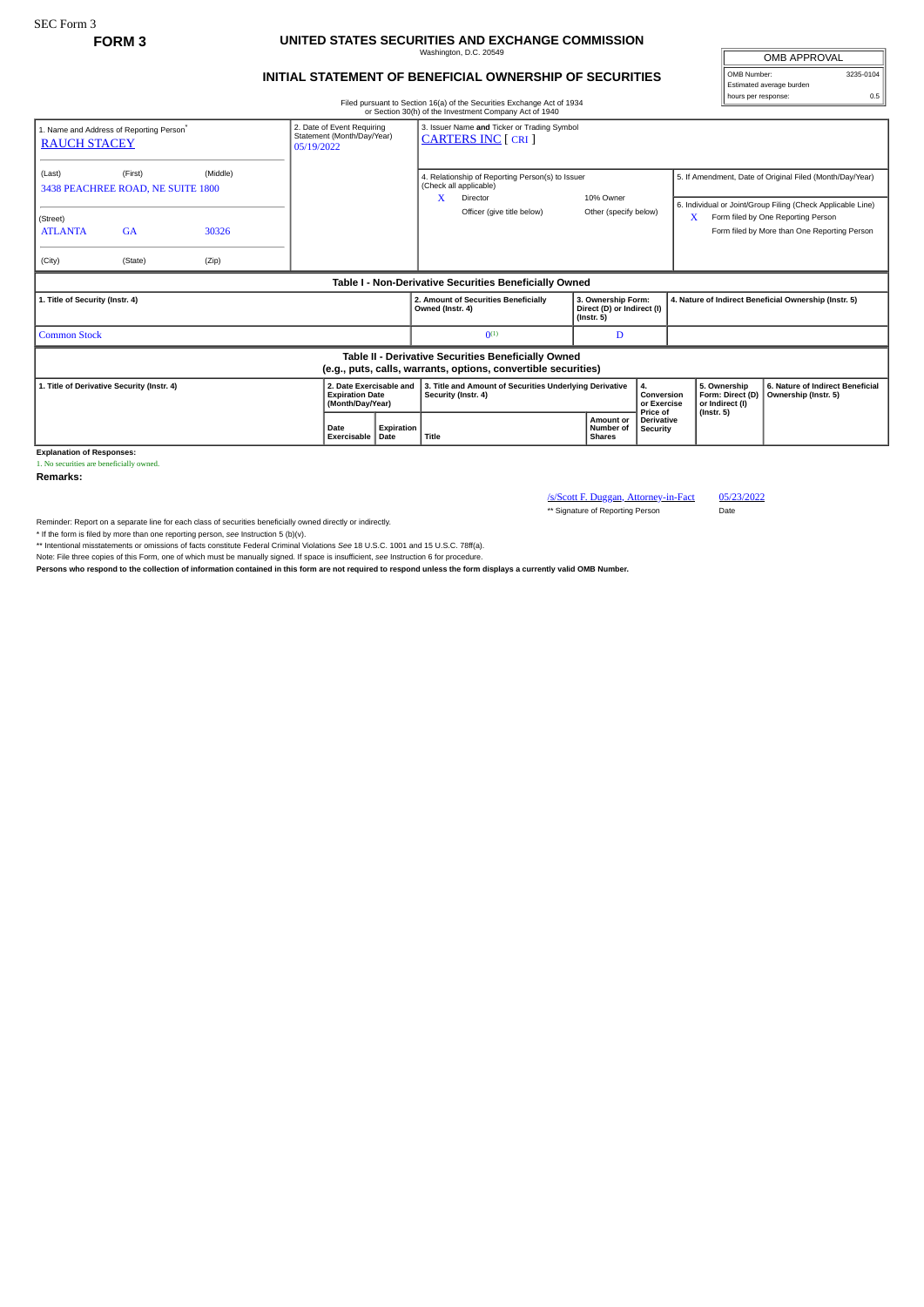## **FORM 3 UNITED STATES SECURITIES AND EXCHANGE COMMISSION** Washington, D.C. 20549

## **INITIAL STATEMENT OF BENEFICIAL OWNERSHIP OF SECURITIES**

Filed pursuant to Section 16(a) of the Securities Exchange Act of 1934 or Section 30(h) of the Investment Company Act of 1940

OMB APPROVAL OMB Number: 3235-0104 Estimated average burden hours per response: 0.5

|                                                                                                                       |                                                                        |                            |                                                                           |                    |                                                                                                                   | or Section 30(h) or the investment Company Act or 1940                                                                                                           |                                                                      |  |                                                                                                                                                                                                                     |                                                          |                  |  |
|-----------------------------------------------------------------------------------------------------------------------|------------------------------------------------------------------------|----------------------------|---------------------------------------------------------------------------|--------------------|-------------------------------------------------------------------------------------------------------------------|------------------------------------------------------------------------------------------------------------------------------------------------------------------|----------------------------------------------------------------------|--|---------------------------------------------------------------------------------------------------------------------------------------------------------------------------------------------------------------------|----------------------------------------------------------|------------------|--|
| 1. Name and Address of Reporting Person*<br><b>RAUCH STACEY</b>                                                       | 2. Date of Event Requiring<br>Statement (Month/Day/Year)<br>05/19/2022 |                            | 3. Issuer Name and Ticker or Trading Symbol<br><b>CARTERS INC [ CRI ]</b> |                    |                                                                                                                   |                                                                                                                                                                  |                                                                      |  |                                                                                                                                                                                                                     |                                                          |                  |  |
| (Last)<br>3438 PEACHREE ROAD, NE SUITE 1800<br>(Street)<br><b>ATLANTA</b><br>(City)                                   | (First)<br><b>GA</b><br>(State)                                        | (Middle)<br>30326<br>(Zip) |                                                                           |                    |                                                                                                                   | 4. Relationship of Reporting Person(s) to Issuer<br>(Check all applicable)<br>X.<br>10% Owner<br>Director<br>Officer (give title below)<br>Other (specify below) |                                                                      |  | 5. If Amendment, Date of Original Filed (Month/Day/Year)<br>6. Individual or Joint/Group Filing (Check Applicable Line)<br>Form filed by One Reporting Person<br>X.<br>Form filed by More than One Reporting Person |                                                          |                  |  |
| Table I - Non-Derivative Securities Beneficially Owned                                                                |                                                                        |                            |                                                                           |                    |                                                                                                                   |                                                                                                                                                                  |                                                                      |  |                                                                                                                                                                                                                     |                                                          |                  |  |
| 1. Title of Security (Instr. 4)                                                                                       |                                                                        |                            |                                                                           |                    | Owned (Instr. 4)                                                                                                  | 2. Amount of Securities Beneficially                                                                                                                             | 3. Ownership Form:<br>Direct (D) or Indirect (I)<br>$($ Instr. 5 $)$ |  | 4. Nature of Indirect Beneficial Ownership (Instr. 5)                                                                                                                                                               |                                                          |                  |  |
| <b>Common Stock</b>                                                                                                   |                                                                        |                            |                                                                           |                    |                                                                                                                   | $0^{(1)}$                                                                                                                                                        | D                                                                    |  |                                                                                                                                                                                                                     |                                                          |                  |  |
| Table II - Derivative Securities Beneficially Owned<br>(e.g., puts, calls, warrants, options, convertible securities) |                                                                        |                            |                                                                           |                    |                                                                                                                   |                                                                                                                                                                  |                                                                      |  |                                                                                                                                                                                                                     |                                                          |                  |  |
| 2. Date Exercisable and<br>1. Title of Derivative Security (Instr. 4)<br><b>Expiration Date</b><br>(Month/Day/Year)   |                                                                        |                            |                                                                           |                    | 3. Title and Amount of Securities Underlying Derivative<br>4.<br>Security (Instr. 4)<br>Conversion<br>or Exercise |                                                                                                                                                                  |                                                                      |  | 5. Ownership<br>Form: Direct (D)<br>or Indirect (I)                                                                                                                                                                 | 6. Nature of Indirect Beneficial<br>Ownership (Instr. 5) |                  |  |
|                                                                                                                       |                                                                        |                            | Date<br>Exercisable                                                       | Expiration<br>Date | Title                                                                                                             |                                                                                                                                                                  | <b>Amount or</b><br>Number of<br><b>Shares</b>                       |  | Price of<br><b>Derivative</b><br>Security                                                                                                                                                                           |                                                          | $($ Instr. 5 $)$ |  |

**Explanation of Responses:** 1. No securities are beneficially owned.

**Remarks:**

/s/Scott F. Duggan, Attorney-in-Fact 05/23/2022 \*\* Signature of Reporting Person Date

Reminder: Report on a separate line for each class of securities beneficially owned directly or indirectly.

\* If the form is filed by more than one reporting person, see Instruction 5 (b)(v).<br>\*\* Intentional misstatements or omissions of facts constitute Federal Criminal Violations See 18 U.S.C. 1001 and 15 U.S.C. 78ff(a).

Note: File three copies of this Form, one of which must be manually signed. If space is insufficient, *see* Instruction 6 for procedure.

**Persons who respond to the collection of information contained in this form are not required to respond unless the form displays a currently valid OMB Number.**